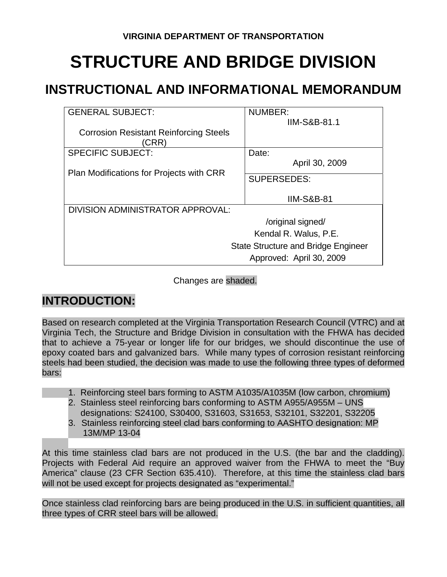# **STRUCTURE AND BRIDGE DIVISION**

# **INSTRUCTIONAL AND INFORMATIONAL MEMORANDUM**

| <b>GENERAL SUBJECT:</b>                               | NUMBER:                  |  |  |
|-------------------------------------------------------|--------------------------|--|--|
|                                                       | <b>IIM-S&amp;B-81.1</b>  |  |  |
| <b>Corrosion Resistant Reinforcing Steels</b><br>CRR) |                          |  |  |
| <b>SPECIFIC SUBJECT:</b>                              | Date:                    |  |  |
|                                                       | April 30, 2009           |  |  |
| Plan Modifications for Projects with CRR              | <b>SUPERSEDES:</b>       |  |  |
|                                                       | <b>IIM-S&amp;B-81</b>    |  |  |
| DIVISION ADMINISTRATOR APPROVAL:                      |                          |  |  |
| /original signed/                                     |                          |  |  |
| Kendal R. Walus, P.E.                                 |                          |  |  |
| <b>State Structure and Bridge Engineer</b>            |                          |  |  |
|                                                       | Approved: April 30, 2009 |  |  |

Changes are shaded.

## **INTRODUCTION:**

Based on research completed at the Virginia Transportation Research Council (VTRC) and at Virginia Tech, the Structure and Bridge Division in consultation with the FHWA has decided that to achieve a 75-year or longer life for our bridges, we should discontinue the use of epoxy coated bars and galvanized bars. While many types of corrosion resistant reinforcing steels had been studied, the decision was made to use the following three types of deformed bars:

- 1. Reinforcing steel bars forming to ASTM A1035/A1035M (low carbon, chromium)
- 2. Stainless steel reinforcing bars conforming to ASTM A955/A955M UNS designations: S24100, S30400, S31603, S31653, S32101, S32201, S32205
- 3. Stainless reinforcing steel clad bars conforming to AASHTO designation: MP 13M/MP 13-04

At this time stainless clad bars are not produced in the U.S. (the bar and the cladding). Projects with Federal Aid require an approved waiver from the FHWA to meet the "Buy America" clause (23 CFR Section 635.410). Therefore, at this time the stainless clad bars will not be used except for projects designated as "experimental."

Once stainless clad reinforcing bars are being produced in the U.S. in sufficient quantities, all three types of CRR steel bars will be allowed.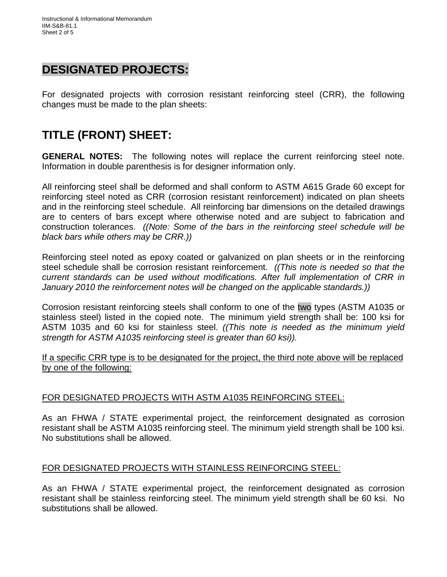### **DESIGNATED PROJECTS:**

For designated projects with corrosion resistant reinforcing steel (CRR), the following changes must be made to the plan sheets:

## **TITLE (FRONT) SHEET:**

**GENERAL NOTES:** The following notes will replace the current reinforcing steel note. Information in double parenthesis is for designer information only.

All reinforcing steel shall be deformed and shall conform to ASTM A615 Grade 60 except for reinforcing steel noted as CRR (corrosion resistant reinforcement) indicated on plan sheets and in the reinforcing steel schedule. All reinforcing bar dimensions on the detailed drawings are to centers of bars except where otherwise noted and are subject to fabrication and construction tolerances. *((Note: Some of the bars in the reinforcing steel schedule will be black bars while others may be CRR.))*

Reinforcing steel noted as epoxy coated or galvanized on plan sheets or in the reinforcing steel schedule shall be corrosion resistant reinforcement. *((This note is needed so that the current standards can be used without modifications. After full implementation of CRR in January 2010 the reinforcement notes will be changed on the applicable standards.))*

Corrosion resistant reinforcing steels shall conform to one of the two types (ASTM A1035 or stainless steel) listed in the copied note. The minimum yield strength shall be: 100 ksi for ASTM 1035 and 60 ksi for stainless steel. *((This note is needed as the minimum yield strength for ASTM A1035 reinforcing steel is greater than 60 ksi)).*

If a specific CRR type is to be designated for the project, the third note above will be replaced by one of the following:

#### FOR DESIGNATED PROJECTS WITH ASTM A1035 REINFORCING STEEL:

As an FHWA / STATE experimental project, the reinforcement designated as corrosion resistant shall be ASTM A1035 reinforcing steel. The minimum yield strength shall be 100 ksi. No substitutions shall be allowed.

#### FOR DESIGNATED PROJECTS WITH STAINLESS REINFORCING STEEL:

As an FHWA / STATE experimental project, the reinforcement designated as corrosion resistant shall be stainless reinforcing steel. The minimum yield strength shall be 60 ksi. No substitutions shall be allowed.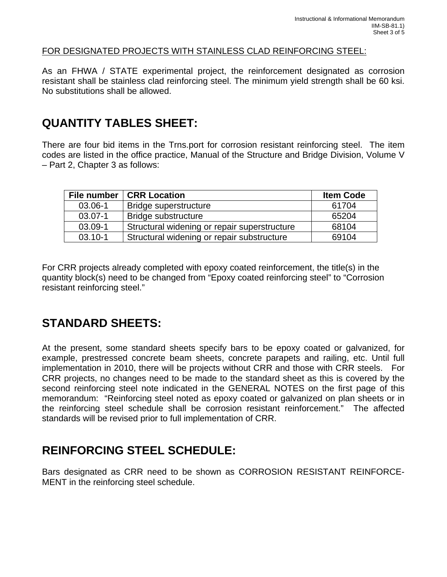#### FOR DESIGNATED PROJECTS WITH STAINLESS CLAD REINFORCING STEEL:

As an FHWA / STATE experimental project, the reinforcement designated as corrosion resistant shall be stainless clad reinforcing steel. The minimum yield strength shall be 60 ksi. No substitutions shall be allowed.

#### **QUANTITY TABLES SHEET:**

There are four bid items in the Trns.port for corrosion resistant reinforcing steel. The item codes are listed in the office practice, Manual of the Structure and Bridge Division, Volume V – Part 2, Chapter 3 as follows:

| File number | <b>CRR Location</b>                                   | <b>Item Code</b> |
|-------------|-------------------------------------------------------|------------------|
| 03.06-1     | Bridge superstructure                                 | 61704            |
| 03.07-1     | Bridge substructure                                   | 65204            |
| 03.09-1     | Structural widening or repair superstructure<br>68104 |                  |
| $03.10 - 1$ | Structural widening or repair substructure            | 69104            |

For CRR projects already completed with epoxy coated reinforcement, the title(s) in the quantity block(s) need to be changed from "Epoxy coated reinforcing steel" to "Corrosion resistant reinforcing steel."

## **STANDARD SHEETS:**

At the present, some standard sheets specify bars to be epoxy coated or galvanized, for example, prestressed concrete beam sheets, concrete parapets and railing, etc. Until full implementation in 2010, there will be projects without CRR and those with CRR steels. For CRR projects, no changes need to be made to the standard sheet as this is covered by the second reinforcing steel note indicated in the GENERAL NOTES on the first page of this memorandum: "Reinforcing steel noted as epoxy coated or galvanized on plan sheets or in the reinforcing steel schedule shall be corrosion resistant reinforcement." The affected standards will be revised prior to full implementation of CRR.

## **REINFORCING STEEL SCHEDULE:**

Bars designated as CRR need to be shown as CORROSION RESISTANT REINFORCE-MENT in the reinforcing steel schedule.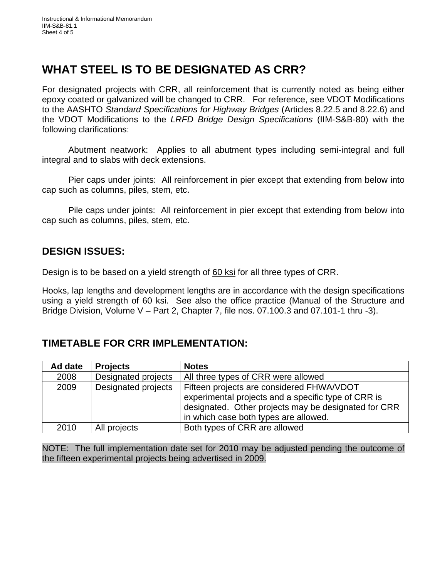## **WHAT STEEL IS TO BE DESIGNATED AS CRR?**

For designated projects with CRR, all reinforcement that is currently noted as being either epoxy coated or galvanized will be changed to CRR. For reference, see VDOT Modifications to the AASHTO *Standard Specifications for Highway Bridges* (Articles 8.22.5 and 8.22.6) and the VDOT Modifications to the *LRFD Bridge Design Specifications* (IIM-S&B-80) with the following clarifications:

 Abutment neatwork: Applies to all abutment types including semi-integral and full integral and to slabs with deck extensions.

 Pier caps under joints: All reinforcement in pier except that extending from below into cap such as columns, piles, stem, etc.

 Pile caps under joints: All reinforcement in pier except that extending from below into cap such as columns, piles, stem, etc.

#### **DESIGN ISSUES:**

Design is to be based on a yield strength of 60 ksi for all three types of CRR.

Hooks, lap lengths and development lengths are in accordance with the design specifications using a yield strength of 60 ksi. See also the office practice (Manual of the Structure and Bridge Division, Volume V – Part 2, Chapter 7, file nos. 07.100.3 and 07.101-1 thru -3).

#### **TIMETABLE FOR CRR IMPLEMENTATION:**

| Ad date | <b>Projects</b>     | <b>Notes</b>                                                                                                                                                                                      |
|---------|---------------------|---------------------------------------------------------------------------------------------------------------------------------------------------------------------------------------------------|
| 2008    | Designated projects | All three types of CRR were allowed                                                                                                                                                               |
| 2009    | Designated projects | Fifteen projects are considered FHWA/VDOT<br>experimental projects and a specific type of CRR is<br>designated. Other projects may be designated for CRR<br>in which case both types are allowed. |
| 2010    | All projects        | Both types of CRR are allowed                                                                                                                                                                     |

NOTE: The full implementation date set for 2010 may be adjusted pending the outcome of the fifteen experimental projects being advertised in 2009.